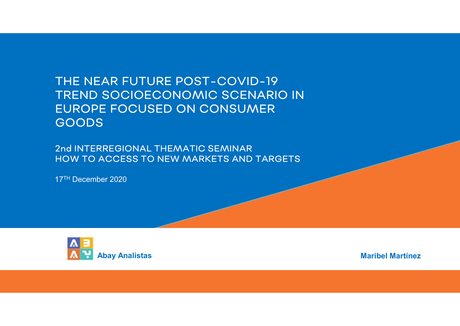## THE NEAR FUTURE POST-COVID-19 TREND SOCIOECONOMIC SCENARIO IN EUROPE FOCUSED ON CONSUMER GOODS THE NEAR FUTURE POST-COVID-19<br>TREND SOCIOECONOMIC SCENARIO<br>EUROPE FOCUSED ON CONSUMER<br>GOODS<br>2nd INTERREGIONAL THEMATIC SEMINAR<br>HOW TO ACCESS TO NEW MARKETS AND TARGE<br>17<sup>TH</sup> December 2020

2nd INTERREGIONAL THEMATIC SEMINAR HOW TO ACCESS TO NEW MARKETS AND TARGETS



Maribel Martínez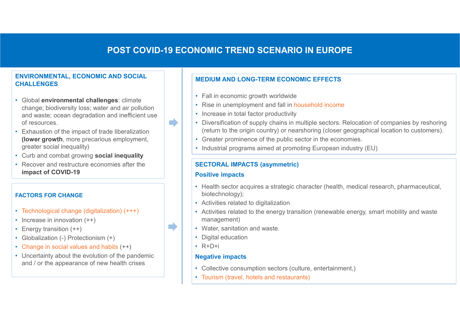#### POST COVID-19 ECONOMIC TREND SCENARIO IN EUROPE

#### ENVIRONMENTAL, ECONOMIC AND SOCIAL CHALLENGES

- Global environmental challenges: climate change; biodiversity loss; water and air pollution and waste; ocean degradation and inefficient use of resources.
- Exhaustion of the impact of trade liberalization (lower growth, more precarious employment, greater social inequality)
- Curb and combat growing social inequality
- Recover and restructure economies after the impact of COVID-19

#### FACTORS FOR CHANGE

- Technological change (digitalization) (+++)
- Increase in innovation  $(++)$
- Energy transition  $(++)$
- Globalization (-) Protectionism (+)
- Change in social values and habits (++)
- Uncertainty about the evolution of the pandemic and / or the appearance of new health crises

#### MEDIUM AND LONG-TERM ECONOMIC EFFECTS

- Fall in economic growth worldwide
- Rise in unemployment and fall in household income
- Increase in total factor productivity
- Diversification of supply chains in multiple sectors. Relocation of companies by reshoring (return to the origin country) or nearshoring (closer geographical location to customers).
- Greater prominence of the public sector in the economies.
- Industrial programs aimed at promoting European industry (EU)

#### SECTORAL IMPACTS (asymmetric)

#### Positive impacts

m)

m.

- Health sector acquires a strategic character (health, medical research, pharmaceutical, biotechnology);
- Activities related to digitalization
- Activities related to the energy transition (renewable energy, smart mobility and waste management)
- Water, sanitation and waste.
- Digital education
- R+D+i

#### **Negative impacts**

- Collective consumption sectors (culture, entertainment,)
- Tourism (travel, hotels and restaurants)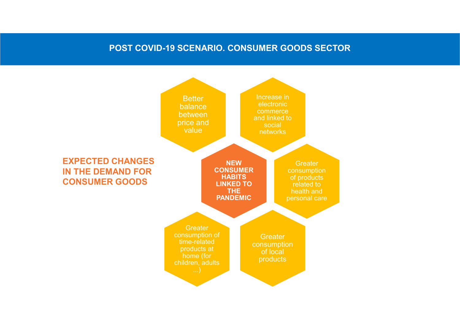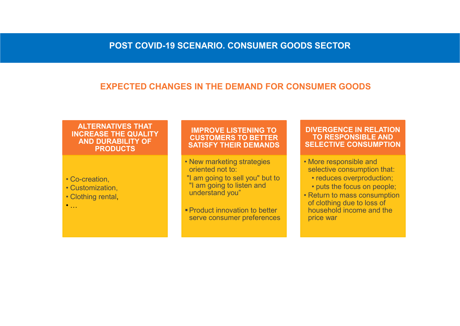#### EXPECTED CHANGES IN THE DEMAND FOR CONSUMER GOODS

### ALTERNATIVES THAT INCREASE THE QUALITY AND DURABILITY OF PRODUCTS **POST COVID-19 SCENARIO. CONS<br>
EXPECTED CHANGES IN THE DEMA<br>
INCREASE THE QUALITY<br>
AND DURABILITY OF<br>
PRODUCTS<br>
• Co-creation,<br>
• Co-creation,<br>
• Customization,<br>
• Clustomization,<br>
• Clustomization,<br>
• Clustomization,<br>
• C EXPECTED CHANGES IN THE DEMA<br>
EXPECTED CHANGES IN THE DEMA<br>
ALTERNATIVES THAT<br>
INCREASE THE QUALITY<br>
AND DURABILITY OF<br>
PRODUCTS<br>
• Co-creation,<br>
• Co-creation,<br>
• Customization,<br>
• Clothing rental,<br>
• Clothing rental,<br>
•** EXPECTED CHANGES IN THE DEMA<br>
ALTERNATIVES THAT<br>
INCREASE THE QUALITY<br>
AND DURABILITY OF<br>
PRODUCTS<br>
• Co-creation,<br>
• Customization,<br>
• Clothing rental,<br>
• Clothing rental,<br>
• Product innovation<br>
• Product innovation<br>
• Pr

- 
- 
- 

# IMPROVE LISTENING TO CUSTOMERS TO BETTER SATISFY THEIR DEMANDS CENARIO. CONSUMER GOODS SECTOR<br>
SIN THE DEMAND FOR CONSUMER GOODS<br>
SATISFY THEIR DEMANDS<br>
SATISFY THEIR DEMANDS<br>
• New marketing strategies<br>
• New marketing strategies<br>
• More responsible a<br>
• More responsible a<br>
• More re

- oriented not to:
- "I am going to sell you" but to **contain the verture of the verture of the verture verture**  $\cdot$  reduces overproduction; "I am going to listen and **Fig. 1** buts the focus on people; understand you"
- **Product innovation to better** serve consumer preferences

# DIVERGENCE IN RELATION TO RESPONSIBLE AND SELECTIVE CONSUMPTION **SSECTOR<br>
SUMER GOODS<br>
DIVERGENCE IN RELATION<br>
TO RESPONSIBLE AND<br>
SELECTIVE CONSUMPTION<br>
• More responsible and<br>
selective consumption that:<br>
• reduces overproduction;<br>
• puts the focus on people;<br>• Return to mass consum** • SECTOR<br>
WERGENCE IN RELATION<br>
TO RESPONSIBLE AND<br>
ELECTIVE CONSUMPTION<br>
Aore responsible and<br>
elective consumption that:<br>
• reduces overproduction;<br>
• puts the focus on people;<br>
Return to mass consumption<br>
f clothing due

- selective consumption that:
	-
	-
- **VERGENCE IN RELATION<br>TO RESPONSIBLE AND<br>FLECTIVE CONSUMPTION<br>More responsible and<br>elective consumption that:<br>• reduces overproduction;<br>• puts the focus on people;<br>Return to mass consumption<br>f clothing due to loss of<br>ouseh SUMER GOODS**<br> **DIVERGENCE IN RELATION**<br> **TO RESPONSIBLE AND**<br> **SELECTIVE CONSUMPTION**<br>
• More responsible and<br>
• educes overproduction;<br>
• puts the focus on people;<br>
• Return to mass consumption<br>
σ clothing due to loss o of clothing due to loss of household income and the price war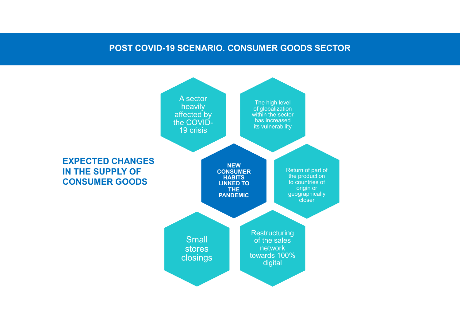